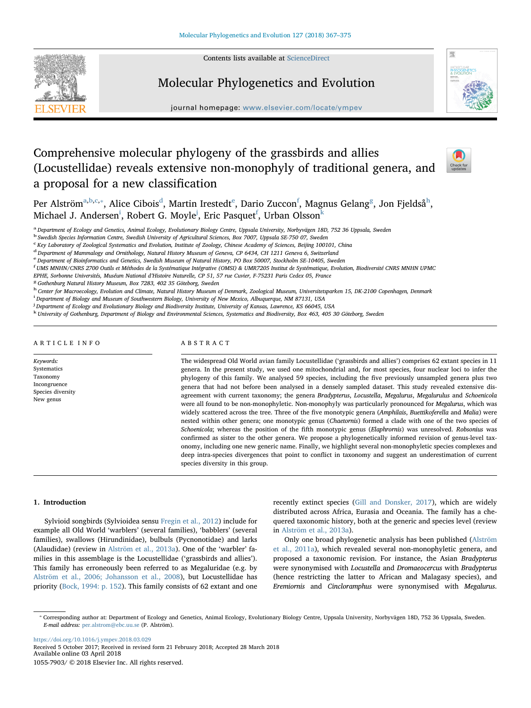Contents lists available at [ScienceDirect](http://www.sciencedirect.com/science/journal/10557903)



# Molecular Phylogenetics and Evolution



journal homepage: [www.elsevier.com/locate/ympev](https://www.elsevier.com/locate/ympev)

# Comprehensive molecular phylogeny of the grassbirds and allies (Locustellidae) reveals extensive non-monophyly of traditional genera, and a proposal for a new classification



P[e](#page-0-5)r Alström $^{\rm a,b,c, *}$  $^{\rm a,b,c, *}$  $^{\rm a,b,c, *}$  $^{\rm a,b,c, *}$  $^{\rm a,b,c, *}$  $^{\rm a,b,c, *}$ , Alice Cibois $^{\rm d}$  $^{\rm d}$  $^{\rm d}$ , Martin Irestedt $^{\rm e}$ , Dario Zuccon $^{\rm f}$  $^{\rm f}$  $^{\rm f}$ , Ma[g](#page-0-7)nus Gelang $^{\rm g}$ , Jon Fjeldså $^{\rm h}$  $^{\rm h}$  $^{\rm h}$ , M[i](#page-0-9)chael J. Andersen $^{\rm i}$ , Robert G. Moyle $^{\rm j}$ , Eric Pasquet $^{\rm f}$  $^{\rm f}$  $^{\rm f}$ , Urban Olsson $^{\rm k}$  $^{\rm k}$  $^{\rm k}$ 

<span id="page-0-0"></span>a Department of Ecology and Genetics, Animal Ecology, Evolutionary Biology Centre, Uppsala University, Norbyvägen 18D, 752 36 Uppsala, Sweden

<span id="page-0-1"></span><sup>b</sup> Swedish Species Information Centre, Swedish University of Agricultural Sciences, Box 7007, Uppsala SE-750 07, Sweden

<span id="page-0-2"></span><sup>c</sup> Key Laboratory of Zoological Systematics and Evolution, Institute of Zoology, Chinese Academy of Sciences, Beijing 100101, China

<span id="page-0-4"></span><sup>d</sup> Department of Mammalogy and Ornithology, Natural History Museum of Geneva, CP 6434, CH 1211 Geneva 6, Switzerland

<span id="page-0-5"></span>e Department of Bioinformatics and Genetics, Swedish Museum of Natural History, PO Box 50007, Stockholm SE-10405, Sweden

<span id="page-0-6"></span>f UMS MNHN/CNRS 2700 Outils et Méthodes de la Systématique Intégrative (OMSI) & UMR7205 Institut de Systématique, Evolution, Biodiversité CNRS MNHN UPMC

EPHE, Sorbonne Universités, Muséum National d'Histoire Naturelle, CP 51, 57 rue Cuvier, F-75231 Paris Cedex 05, France<br><sup>8</sup> Gothenburg Natural History Museum, Box 7283, 402 35 Göteborg, Sweden

<span id="page-0-7"></span>

<span id="page-0-8"></span>h Center for Macroecology, Evolution and Climate, Natural History Museum of Denmark, Zoological Museum, Universitetsparken 15, DK-2100 Copenhagen, Denmark

<span id="page-0-9"></span>i Department of Biology and Museum of Southwestern Biology, University of New Mexico, Albuquerque, NM 87131, USA

<span id="page-0-10"></span>j Department of Ecology and Evolutionary Biology and Biodiversity Institute, University of Kansas, Lawrence, KS 66045, USA

<span id="page-0-11"></span>k University of Gothenburg, Department of Biology and Environmental Sciences, Systematics and Biodiversity, Box 463, 405 30 Göteborg, Sweden

# ARTICLE INFO

Keywords: **Systematics** Taxonomy Incongruence Species diversity New genus

ABSTRACT

The widespread Old World avian family Locustellidae ('grassbirds and allies') comprises 62 extant species in 11 genera. In the present study, we used one mitochondrial and, for most species, four nuclear loci to infer the phylogeny of this family. We analysed 59 species, including the five previously unsampled genera plus two genera that had not before been analysed in a densely sampled dataset. This study revealed extensive disagreement with current taxonomy; the genera Bradypterus, Locustella, Megalurus, Megalurulus and Schoenicola were all found to be non-monophyletic. Non-monophyly was particularly pronounced for Megalurus, which was widely scattered across the tree. Three of the five monotypic genera (Amphilais, Buettikoferella and Malia) were nested within other genera; one monotypic genus (Chaetornis) formed a clade with one of the two species of Schoenicola; whereas the position of the fifth monotypic genus (Elaphrornis) was unresolved. Robsonius was confirmed as sister to the other genera. We propose a phylogenetically informed revision of genus-level taxonomy, including one new generic name. Finally, we highlight several non-monophyletic species complexes and deep intra-species divergences that point to conflict in taxonomy and suggest an underestimation of current species diversity in this group.

# 1. Introduction

Sylvioid songbirds (Sylvioidea sensu [Fregin et al., 2012](#page-8-0)) include for example all Old World 'warblers' (several families), 'babblers' (several families), swallows (Hirundinidae), bulbuls (Pycnonotidae) and larks (Alaudidae) (review in [Alström et al., 2013a\)](#page-7-0). One of the 'warbler' families in this assemblage is the Locustellidae ('grassbirds and allies'). This family has erroneously been referred to as Megaluridae (e.g. by [Alström et al., 2006; Johansson et al., 2008](#page-7-1)), but Locustellidae has priority ([Bock, 1994: p. 152](#page-8-1)). This family consists of 62 extant and one recently extinct species [\(Gill and Donsker, 2017\)](#page-8-2), which are widely distributed across Africa, Eurasia and Oceania. The family has a chequered taxonomic history, both at the generic and species level (review in [Alström et al., 2013a\)](#page-7-0).

Only one broad phylogenetic analysis has been published ([Alström](#page-7-2) [et al., 2011a\)](#page-7-2), which revealed several non-monophyletic genera, and proposed a taxonomic revision. For instance, the Asian Bradypterus were synonymised with Locustella and Dromaeocercus with Bradypterus (hence restricting the latter to African and Malagasy species), and Eremiornis and Cincloramphus were synonymised with Megalurus.

<https://doi.org/10.1016/j.ympev.2018.03.029> Received 5 October 2017; Received in revised form 21 February 2018; Accepted 28 March 2018 Available online 03 April 2018 1055-7903/ © 2018 Elsevier Inc. All rights reserved.

<span id="page-0-3"></span><sup>⁎</sup> Corresponding author at: Department of Ecology and Genetics, Animal Ecology, Evolutionary Biology Centre, Uppsala University, Norbyvägen 18D, 752 36 Uppsala, Sweden. E-mail address: [per.alstrom@ebc.uu.se](mailto:per.alstrom@ebc.uu.se) (P. Alström).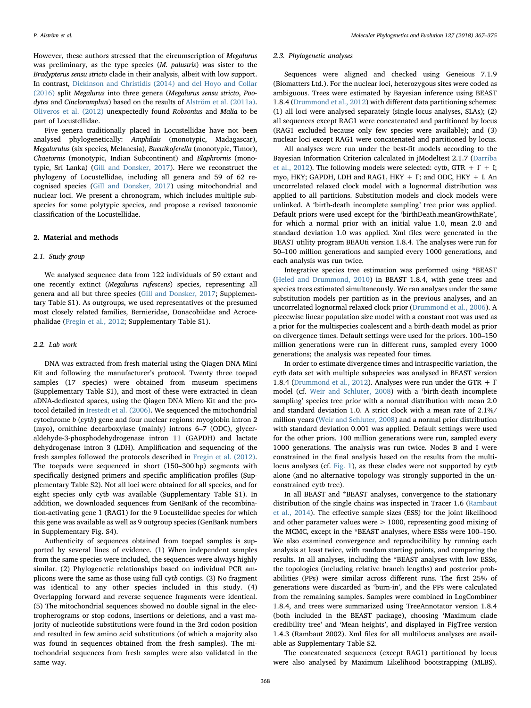However, these authors stressed that the circumscription of Megalurus was preliminary, as the type species (M. palustris) was sister to the Bradypterus sensu stricto clade in their analysis, albeit with low support. In contrast, [Dickinson and Christidis \(2014\) and del Hoyo and Collar](#page-8-3) [\(2016\)](#page-8-3) split Megalurus into three genera (Megalurus sensu stricto, Poodytes and Cincloramphus) based on the results of [Alström et al. \(2011a\)](#page-7-2). [Oliveros et al. \(2012\)](#page-8-4) unexpectedly found Robsonius and Malia to be part of Locustellidae.

Five genera traditionally placed in Locustellidae have not been analysed phylogenetically: Amphilais (monotypic, Madagascar), Megalurulus (six species, Melanesia), Buettikoferella (monotypic, Timor), Chaetornis (monotypic, Indian Subcontinent) and Elaphrornis (monotypic, Sri Lanka) [\(Gill and Donsker, 2017](#page-8-2)). Here we reconstruct the phylogeny of Locustellidae, including all genera and 59 of 62 recognised species [\(Gill and Donsker, 2017\)](#page-8-2) using mitochondrial and nuclear loci. We present a chronogram, which includes multiple subspecies for some polytypic species, and propose a revised taxonomic classification of the Locustellidae.

## 2. Material and methods

## 2.1. Study group

We analysed sequence data from 122 individuals of 59 extant and one recently extinct (Megalurus rufescens) species, representing all genera and all but three species [\(Gill and Donsker, 2017;](#page-8-2) Supplementary Table S1). As outgroups, we used representatives of the presumed most closely related families, Bernieridae, Donacobiidae and Acrocephalidae ([Fregin et al., 2012](#page-8-0); Supplementary Table S1).

# 2.2. Lab work

DNA was extracted from fresh material using the Qiagen DNA Mini Kit and following the manufacturer's protocol. Twenty three toepad samples (17 species) were obtained from museum specimens (Supplementary Table S1), and most of these were extracted in clean aDNA-dedicated spaces, using the Qiagen DNA Micro Kit and the protocol detailed in [Irestedt et al. \(2006\)](#page-8-5). We sequenced the mitochondrial cytochrome b (cytb) gene and four nuclear regions: myoglobin intron 2 (myo), ornithine decarboxylase (mainly) introns 6–7 (ODC), glyceraldehyde-3-phosphodehydrogenase intron 11 (GAPDH) and lactate dehydrogenase intron 3 (LDH). Amplification and sequencing of the fresh samples followed the protocols described in [Fregin et al. \(2012\)](#page-8-0). The toepads were sequenced in short (150–300 bp) segments with specifically designed primers and specific amplification profiles (Supplementary Table S2). Not all loci were obtained for all species, and for eight species only cytb was available (Supplementary Table S1). In addition, we downloaded sequences from GenBank of the recombination-activating gene 1 (RAG1) for the 9 Locustellidae species for which this gene was available as well as 9 outgroup species (GenBank numbers in Supplementary Fig. S4).

Authenticity of sequences obtained from toepad samples is supported by several lines of evidence. (1) When independent samples from the same species were included, the sequences were always highly similar. (2) Phylogenetic relationships based on individual PCR amplicons were the same as those using full cytb contigs. (3) No fragment was identical to any other species included in this study. (4) Overlapping forward and reverse sequence fragments were identical. (5) The mitochondrial sequences showed no double signal in the electropherograms or stop codons, insertions or deletions, and a vast majority of nucleotide substitutions were found in the 3rd codon position and resulted in few amino acid substitutions (of which a majority also was found in sequences obtained from the fresh samples). The mitochondrial sequences from fresh samples were also validated in the same way.

## 2.3. Phylogenetic analyses

Sequences were aligned and checked using Geneious 7.1.9 (Biomatters Ltd.). For the nuclear loci, heterozygous sites were coded as ambiguous. Trees were estimated by Bayesian inference using BEAST 1.8.4 [\(Drummond et al., 2012\)](#page-8-6) with different data partitioning schemes: (1) all loci were analysed separately (single-locus analyses, SLAs); (2) all sequences except RAG1 were concatenated and partitioned by locus (RAG1 excluded because only few species were available); and (3) nuclear loci except RAG1 were concatenated and partitioned by locus.

All analyses were run under the best-fit models according to the Bayesian Information Criterion calculated in jModeltest 2.1.7 ([Darriba](#page-8-7) [et al., 2012](#page-8-7)). The following models were selected: cytb. GTR +  $\Gamma$  + I; myo, HKY; GAPDH, LDH and RAG1, HKY + Γ; and ODC, HKY + I. An uncorrelated relaxed clock model with a lognormal distribution was applied to all partitions. Substitution models and clock models were unlinked. A 'birth-death incomplete sampling' tree prior was applied. Default priors were used except for the 'birthDeath.meanGrowthRate', for which a normal prior with an initial value 1.0, mean 2.0 and standard deviation 1.0 was applied. Xml files were generated in the BEAST utility program BEAUti version 1.8.4. The analyses were run for 50–100 million generations and sampled every 1000 generations, and each analysis was run twice.

Integrative species tree estimation was performed using \*BEAST ([Heled and Drummond, 2010\)](#page-8-8) in BEAST 1.8.4, with gene trees and species trees estimated simultaneously. We ran analyses under the same substitution models per partition as in the previous analyses, and an uncorrelated lognormal relaxed clock prior ([Drummond et al., 2006\)](#page-8-9). A piecewise linear population size model with a constant root was used as a prior for the multispecies coalescent and a birth-death model as prior on divergence times. Default settings were used for the priors. 100–150 million generations were run in different runs, sampled every 1000 generations; the analysis was repeated four times.

In order to estimate divergence times and intraspecific variation, the cytb data set with multiple subspecies was analysed in BEAST version 1.8.4 ([Drummond et al., 2012\)](#page-8-6). Analyses were run under the GTR +  $\Gamma$ model (cf. [Weir and Schluter, 2008\)](#page-8-10) with a 'birth-death incomplete sampling' species tree prior with a normal distribution with mean 2.0 and standard deviation 1.0. A strict clock with a mean rate of 2.1%/ million years ([Weir and Schluter, 2008](#page-8-10)) and a normal prior distribution with standard deviation 0.001 was applied. Default settings were used for the other priors. 100 million generations were run, sampled every 1000 generations. The analysis was run twice. Nodes B and I were constrained in the final analysis based on the results from the multilocus analyses (cf. [Fig. 1\)](#page-2-0), as these clades were not supported by cytb alone (and no alternative topology was strongly supported in the unconstrained cytb tree).

In all BEAST and \*BEAST analyses, convergence to the stationary distribution of the single chains was inspected in Tracer 1.6 ([Rambaut](#page-8-11) [et al., 2014](#page-8-11)). The effective sample sizes (ESS) for the joint likelihood and other parameter values were > 1000, representing good mixing of the MCMC, except in the \*BEAST analyses, where ESSs were 100–150. We also examined convergence and reproducibility by running each analysis at least twice, with random starting points, and comparing the results. In all analyses, including the \*BEAST analyses with low ESSs, the topologies (including relative branch lengths) and posterior probabilities (PPs) were similar across different runs. The first 25% of generations were discarded as 'burn-in', and the PPs were calculated from the remaining samples. Samples were combined in LogCombiner 1.8.4, and trees were summarized using TreeAnnotator version 1.8.4 (both included in the BEAST package), choosing 'Maximum clade credibility tree' and 'Mean heights', and displayed in FigTree version 1.4.3 (Rambaut 2002). Xml files for all multilocus analyses are available as Supplementary Table S2.

The concatenated sequences (except RAG1) partitioned by locus were also analysed by Maximum Likelihood bootstrapping (MLBS).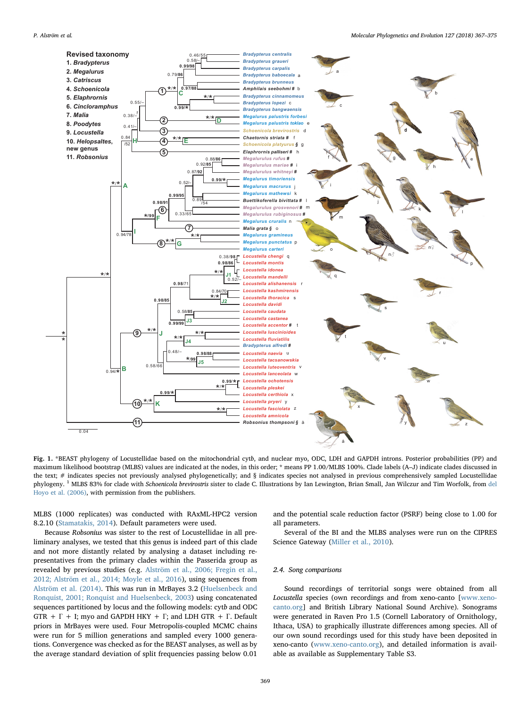<span id="page-2-0"></span>

Fig. 1. \*BEAST phylogeny of Locustellidae based on the mitochondrial cytb, and nuclear myo, ODC, LDH and GAPDH introns. Posterior probabilities (PP) and maximum likelihood bootstrap (MLBS) values are indicated at the nodes, in this order; \* means PP 1.00/MLBS 100%. Clade labels (A–J) indicate clades discussed in the text; # indicates species not previously analysed phylogenetically; and § indicates species not analysed in previous comprehensively sampled Locustellidae phylogeny.<sup>1</sup> MLBS 83% for clade with Schoenicola brevirostris sister to clade C. Illustrations by Ian Lewington, Brian Small, Jan Wilczur and Tim Worfolk, from [del](#page-8-16) [Hoyo et al. \(2006\)](#page-8-16), with permission from the publishers.

MLBS (1000 replicates) was conducted with RAxML-HPC2 version 8.2.10 ([Stamatakis, 2014\)](#page-8-12). Default parameters were used.

Because Robsonius was sister to the rest of Locustellidae in all preliminary analyses, we tested that this genus is indeed part of this clade and not more distantly related by analysing a dataset including representatives from the primary clades within the Passerida group as revealed by previous studies (e.g. [Alström et al., 2006; Fregin et al.,](#page-7-1) [2012; Alström et al., 2014; Moyle et al., 2016\)](#page-7-1), using sequences from [Alström et al. \(2014\)](#page-8-13). This was run in MrBayes 3.2 [\(Huelsenbeck and](#page-8-14) [Ronquist, 2001; Ronquist and Huelsenbeck, 2003\)](#page-8-14) using concatenated sequences partitioned by locus and the following models: cytb and ODC GTR +  $\Gamma$  + I; myo and GAPDH HKY +  $\Gamma$ ; and LDH GTR +  $\Gamma$ . Default priors in MrBayes were used. Four Metropolis-coupled MCMC chains were run for 5 million generations and sampled every 1000 generations. Convergence was checked as for the BEAST analyses, as well as by the average standard deviation of split frequencies passing below 0.01

and the potential scale reduction factor (PSRF) being close to 1.00 for all parameters.

Several of the BI and the MLBS analyses were run on the CIPRES Science Gateway ([Miller et al., 2010\)](#page-8-15).

## 2.4. Song comparisons

Sound recordings of territorial songs were obtained from all Locustella species (own recordings and from xeno-canto [\[www.xeno](http://www.xeno-canto.org)[canto.org\]](http://www.xeno-canto.org) and British Library National Sound Archive). Sonograms were generated in Raven Pro 1.5 (Cornell Laboratory of Ornithology, Ithaca, USA) to graphically illustrate differences among species. All of our own sound recordings used for this study have been deposited in xeno-canto ([www.xeno-canto.org\)](http://www.xeno-canto.org), and detailed information is available as available as Supplementary Table S3.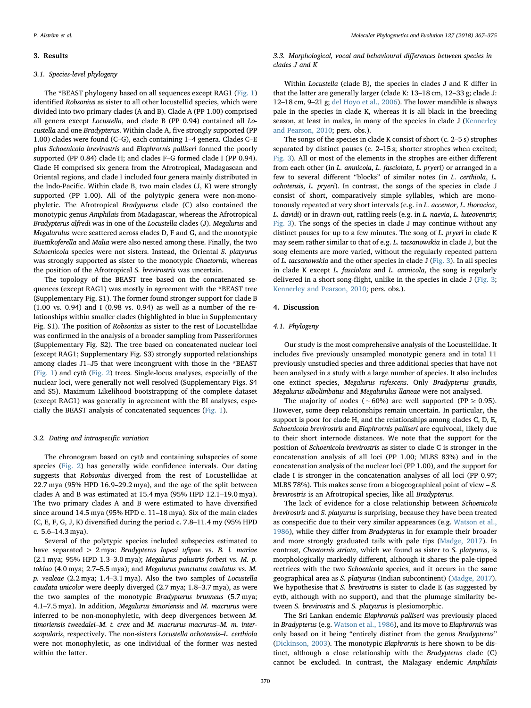### 3. Results

# 3.1. Species-level phylogeny

The \*BEAST phylogeny based on all sequences except RAG1 ([Fig. 1\)](#page-2-0) identified Robsonius as sister to all other locustellid species, which were divided into two primary clades (A and B). Clade A (PP 1.00) comprised all genera except Locustella, and clade B (PP 0.94) contained all Locustella and one Bradypterus. Within clade A, five strongly supported (PP 1.00) clades were found (C–G), each containing 1–4 genera. Clades C–E plus Schoenicola brevirostris and Elaphrornis palliseri formed the poorly supported (PP 0.84) clade H; and clades F–G formed clade I (PP 0.94). Clade H comprised six genera from the Afrotropical, Madagascan and Oriental regions, and clade I included four genera mainly distributed in the Indo-Pacific. Within clade B, two main clades (J, K) were strongly supported (PP 1.00). All of the polytypic genera were non-monophyletic. The Afrotropical Bradypterus clade (C) also contained the monotypic genus Amphilais from Madagascar, whereas the Afrotropical Bradypterus alfredi was in one of the Locustella clades (J). Megalurus and Megalurulus were scattered across clades D, F and G, and the monotypic Buettikoferella and Malia were also nested among these. Finally, the two Schoenicola species were not sisters. Instead, the Oriental S. platyurus was strongly supported as sister to the monotypic Chaetornis, whereas the position of the Afrotropical S. brevirostris was uncertain.

The topology of the BEAST tree based on the concatenated sequences (except RAG1) was mostly in agreement with the \*BEAST tree (Supplementary Fig. S1). The former found stronger support for clade B (1.00 vs. 0.94) and I (0.98 vs. 0.94) as well as a number of the relationships within smaller clades (highlighted in blue in Supplementary Fig. S1). The position of Robsonius as sister to the rest of Locustellidae was confirmed in the analysis of a broader sampling from Passeriformes (Supplementary Fig. S2). The tree based on concatenated nuclear loci (except RAG1; Supplementary Fig. S3) strongly supported relationships among clades J1–J5 that were incongruent with those in the \*BEAST ([Fig. 1](#page-2-0)) and cytb ([Fig. 2](#page-4-0)) trees. Single-locus analyses, especially of the nuclear loci, were generally not well resolved (Supplementary Figs. S4 and S5). Maximum Likelihood bootstrapping of the complete dataset (except RAG1) was generally in agreement with the BI analyses, especially the BEAST analysis of concatenated sequences [\(Fig. 1](#page-2-0)).

#### 3.2. Dating and intraspecific variation

The chronogram based on cytb and containing subspecies of some species [\(Fig. 2\)](#page-4-0) has generally wide confidence intervals. Our dating suggests that Robsonius diverged from the rest of Locustellidae at 22.7 mya (95% HPD 16.9–29.2 mya), and the age of the split between clades A and B was estimated at 15.4 mya (95% HPD 12.1–19.0 mya). The two primary clades A and B were estimated to have diversified since around 14.5 mya (95% HPD c. 11–18 mya). Six of the main clades (C, E, F, G, J, K) diversified during the period c. 7.8–11.4 my (95% HPD c. 5.6–14.3 mya).

Several of the polytypic species included subspecies estimated to have separated > 2 mya: Bradypterus lopezi ufipae vs. B. l. mariae (2.1 mya; 95% HPD 1.3–3.0 mya); Megalurus palustris forbesi vs. M. p. toklao (4.0 mya; 2.7–5.5 mya); and Megalurus punctatus caudatus vs. M. p. vealeae (2.2 mya; 1.4–3.1 mya). Also the two samples of Locustella caudata unicolor were deeply diverged (2.7 mya; 1.8–3.7 mya), as were the two samples of the monotypic Bradypterus brunneus (5.7 mya; 4.1–7.5 mya). In addition, Megalurus timoriensis and M. macrurus were inferred to be non-monophyletic, with deep divergences between M. timoriensis tweedalei–M. t. crex and M. macrurus macrurus–M. m. interscapularis, respectively. The non-sisters Locustella ochotensis–L. certhiola were not monophyletic, as one individual of the former was nested within the latter.

# 3.3. Morphological, vocal and behavioural differences between species in clades J and K

Within Locustella (clade B), the species in clades J and K differ in that the latter are generally larger (clade K: 13–18 cm, 12–33 g; clade J: 12–18 cm, 9–21 g; [del Hoyo et al., 2006](#page-8-16)). The lower mandible is always pale in the species in clade K, whereas it is all black in the breeding season, at least in males, in many of the species in clade J [\(Kennerley](#page-8-17) [and Pearson, 2010;](#page-8-17) pers. obs.).

The songs of the species in clade K consist of short (c. 2–5 s) strophes separated by distinct pauses (c. 2–15 s; shorter strophes when excited; [Fig. 3\)](#page-5-0). All or most of the elements in the strophes are either different from each other (in L. amnicola, L. fasciolata, L. pryeri) or arranged in a few to several different "blocks" of similar notes (in L. certhiola, L. ochotensis, L. pryeri). In contrast, the songs of the species in clade J consist of short, comparatively simple syllables, which are monotonously repeated at very short intervals (e.g. in L. accentor, L. thoracica, L. davidi) or in drawn-out, rattling reels (e.g. in L. naevia, L. luteoventris; [Fig. 3](#page-5-0)). The songs of the species in clade J may continue without any distinct pauses for up to a few minutes. The song of L. pryeri in clade K may seem rather similar to that of e.g. L. tacsanowskia in clade J, but the song elements are more varied, without the regularly repeated pattern of L. tacsanowskia and the other species in clade J ([Fig. 3](#page-5-0)). In all species in clade K except L. fasciolata and L. amnicola, the song is regularly delivered in a short song-flight, unlike in the species in clade J [\(Fig. 3](#page-5-0); [Kennerley and Pearson, 2010](#page-8-17); pers. obs.).

## 4. Discussion

# 4.1. Phylogeny

Our study is the most comprehensive analysis of the Locustellidae. It includes five previously unsampled monotypic genera and in total 11 previously unstudied species and three additional species that have not been analysed in a study with a large number of species. It also includes one extinct species, Megalurus rufescens. Only Bradypterus grandis, Megalurus albolimbatus and Megalurulus llaneae were not analysed.

The majority of nodes ( $~0$ %) are well supported (PP ≥ 0.95). However, some deep relationships remain uncertain. In particular, the support is poor for clade H, and the relationships among clades C, D, E, Schoenicola brevirostris and Elaphrornis palliseri are equivocal, likely due to their short internode distances. We note that the support for the position of Schoenicola brevirostris as sister to clade C is stronger in the concatenation analysis of all loci (PP 1.00; MLBS 83%) and in the concatenation analysis of the nuclear loci (PP 1.00), and the support for clade I is stronger in the concatenation analyses of all loci (PP 0.97; MLBS 78%). This makes sense from a biogeographical point of view – S. brevirostris is an Afrotropical species, like all Bradypterus.

The lack of evidence for a close relationship between Schoenicola brevirostris and S. platyurus is surprising, because they have been treated as conspecific due to their very similar appearances (e.g. [Watson et al.,](#page-8-18) [1986\)](#page-8-18), while they differ from Bradypterus in for example their broader and more strongly graduated tails with pale tips ([Madge, 2017](#page-8-19)). In contrast, Chaetornis striata, which we found as sister to S. platyurus, is morphologically markedly different, although it shares the pale-tipped rectrices with the two Schoenicola species, and it occurs in the same geographical area as S. platyurus (Indian subcontinent) [\(Madge, 2017](#page-8-19)). We hypothesise that  $S$ . brevirostris is sister to clade  $E$  (as suggested by cytb, although with no support), and that the plumage similarity between S. brevirostris and S. platyurus is plesiomorphic.

The Sri Lankan endemic Elaphrornis palliseri was previously placed in Bradypterus (e.g. [Watson et al., 1986\)](#page-8-18), and its move to Elaphrornis was only based on it being "entirely distinct from the genus Bradypterus" ([Dickinson, 2003](#page-8-20)). The monotypic Elaphrornis is here shown to be distinct, although a close relationship with the Bradypterus clade (C) cannot be excluded. In contrast, the Malagasy endemic Amphilais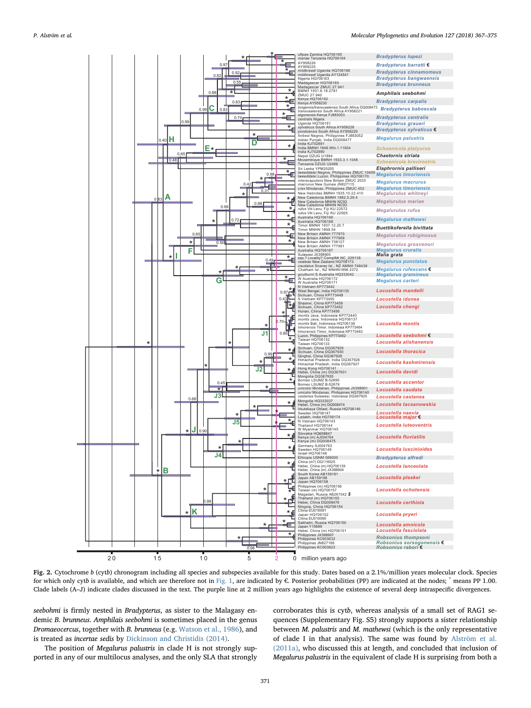## <span id="page-4-0"></span>P. Alström et al. *Molecular Phylogenetics and Evolution 127 (2018) 367–375*



Fig. 2. Cytochrome b (cytb) chronogram including all species and subspecies available for this study. Dates based on a 2.1%/million years molecular clock. Species for which only cytb is available, and which are therefore not in [Fig. 1,](#page-2-0) are indicated by €. Posterior probabilities (PP) are indicated at the nodes; \* means PP 1.00. Clade labels (A–J) indicate clades discussed in the text. The purple line at 2 million years ago highlights the existence of several deep intraspecific divergences.

seebohmi is firmly nested in Bradypterus, as sister to the Malagasy endemic B. brunneus. Amphilais seebohmi is sometimes placed in the genus Dromaeocercus, together with B. brunneus (e.g. [Watson et al., 1986](#page-8-18)), and is treated as incertae sedis by [Dickinson and Christidis \(2014\)](#page-8-3).

The position of Megalurus palustris in clade H is not strongly supported in any of our multilocus analyses, and the only SLA that strongly

corroborates this is cytb, whereas analysis of a small set of RAG1 sequences (Supplementary Fig. S5) strongly supports a sister relationship between M. palustris and M. mathewsi (which is the only representative of clade I in that analysis). The same was found by [Alström et al.](#page-7-2) [\(2011a\),](#page-7-2) who discussed this at length, and concluded that inclusion of Megalurus palustris in the equivalent of clade H is surprising from both a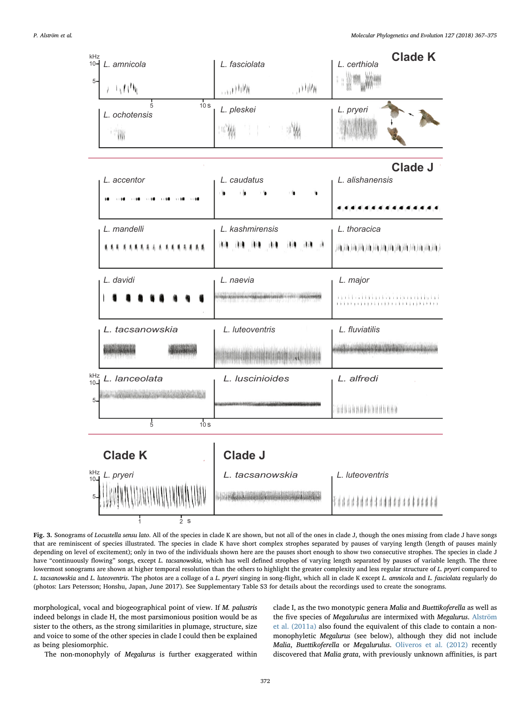<span id="page-5-0"></span>

Fig. 3. Sonograms of Locustella sensu lato. All of the species in clade K are shown, but not all of the ones in clade J, though the ones missing from clade J have songs that are reminiscent of species illustrated. The species in clade K have short complex strophes separated by pauses of varying length (length of pauses mainly depending on level of excitement); only in two of the individuals shown here are the pauses short enough to show two consecutive strophes. The species in clade J have "continuously flowing" songs, except L. tacsanowskia, which has well defined strophes of varying length separated by pauses of variable length. The three lowermost sonograms are shown at higher temporal resolution than the others to highlight the greater complexity and less regular structure of L. pryeri compared to L. tacsanowskia and L. luteoventris. The photos are a collage of a L. pryeri singing in song-flight, which all in clade K except L. amnicola and L. fasciolata regularly do (photos: Lars Petersson; Honshu, Japan, June 2017). See Supplementary Table S3 for details about the recordings used to create the sonograms.

morphological, vocal and biogeographical point of view. If M. palustris indeed belongs in clade H, the most parsimonious position would be as sister to the others, as the strong similarities in plumage, structure, size and voice to some of the other species in clade I could then be explained as being plesiomorphic.

The non-monophyly of Megalurus is further exaggerated within

clade I, as the two monotypic genera Malia and Buettikoferella as well as the five species of Megalurulus are intermixed with Megalurus. [Alström](#page-7-2) [et al. \(2011a\)](#page-7-2) also found the equivalent of this clade to contain a nonmonophyletic Megalurus (see below), although they did not include Malia, Buettikoferella or Megalurulus. [Oliveros et al. \(2012\)](#page-8-4) recently discovered that Malia grata, with previously unknown affinities, is part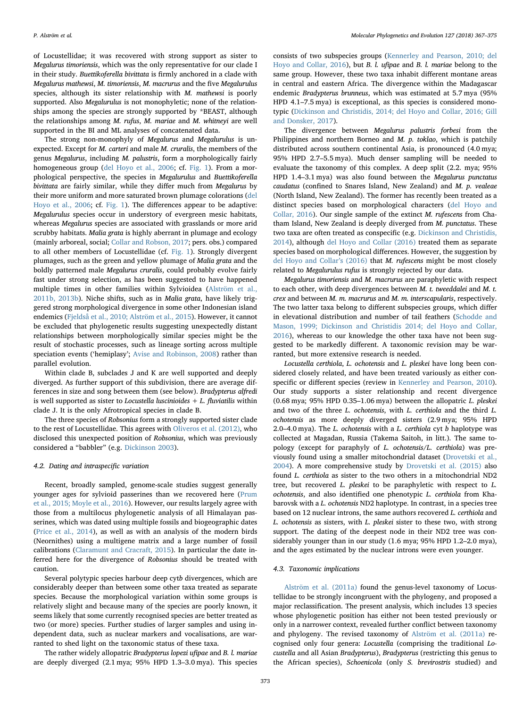of Locustellidae; it was recovered with strong support as sister to Megalurus timoriensis, which was the only representative for our clade I in their study. Buettikoferella bivittata is firmly anchored in a clade with Megalurus mathewsi, M. timoriensis, M. macrurus and the five Megalurulus species, although its sister relationship with M. mathewsi is poorly supported. Also Megalurulus is not monophyletic; none of the relationships among the species are strongly supported by \*BEAST, although the relationships among M. rufus, M. mariae and M. whitneyi are well supported in the BI and ML analyses of concatenated data.

The strong non-monophyly of Megalurus and Megalurulus is unexpected. Except for M. carteri and male M. cruralis, the members of the genus Megalurus, including M. palustris, form a morphologically fairly homogeneous group ([del Hoyo et al., 2006](#page-8-16); cf. [Fig. 1\)](#page-2-0). From a morphological perspective, the species in Megalurulus and Buettikoferella bivittata are fairly similar, while they differ much from Megalurus by their more uniform and more saturated brown plumage colorations ([del](#page-8-16) [Hoyo et al., 2006;](#page-8-16) cf. [Fig. 1](#page-2-0)). The differences appear to be adaptive: Megalurulus species occur in understory of evergreen mesic habitats, whereas Megalurus species are associated with grasslands or more arid scrubby habitats. Malia grata is highly aberrant in plumage and ecology (mainly arboreal, social; [Collar and Robson, 2017](#page-8-21); pers. obs.) compared to all other members of Locustellidae (cf. [Fig. 1\)](#page-2-0). Strongly divergent plumages, such as the green and yellow plumage of Malia grata and the boldly patterned male Megalurus cruralis, could probably evolve fairly fast under strong selection, as has been suggested to have happened multiple times in other families within Sylvioidea [\(Alström et al.,](#page-7-3) [2011b, 2013b\)](#page-7-3). Niche shifts, such as in Malia grata, have likely triggered strong morphological divergence in some other Indonesian island endemics [\(Fjeldså et al., 2010; Alström et al., 2015\)](#page-8-22). However, it cannot be excluded that phylogenetic results suggesting unexpectedly distant relationships between morphologically similar species might be the result of stochastic processes, such as lineage sorting across multiple speciation events ('hemiplasy'; [Avise and Robinson, 2008\)](#page-8-23) rather than parallel evolution.

Within clade B, subclades J and K are well supported and deeply diverged. As further support of this subdivision, there are average differences in size and song between them (see below). Bradypterus alfredi is well supported as sister to Locustella luscinioides  $+ L$ . fluviatilis within clade J. It is the only Afrotropical species in clade B.

The three species of Robsonius form a strongly supported sister clade to the rest of Locustellidae. This agrees with [Oliveros et al. \(2012\)](#page-8-4), who disclosed this unexpected position of Robsonius, which was previously considered a "babbler" (e.g. [Dickinson 2003](#page-8-20)).

# 4.2. Dating and intraspecific variation

Recent, broadly sampled, genome-scale studies suggest generally younger ages for sylvioid passerines than we recovered here ([Prum](#page-8-24) [et al., 2015; Moyle et al., 2016\)](#page-8-24). However, our results largely agree with those from a multilocus phylogenetic analysis of all Himalayan passerines, which was dated using multiple fossils and biogeographic dates ([Price et al., 2014](#page-8-25)), as well as with an analysis of the modern birds (Neornithes) using a multigene matrix and a large number of fossil calibrations ([Claramunt and Cracraft, 2015\)](#page-8-26). In particular the date inferred here for the divergence of Robsonius should be treated with caution.

Several polytypic species harbour deep cytb divergences, which are considerably deeper than between some other taxa treated as separate species. Because the morphological variation within some groups is relatively slight and because many of the species are poorly known, it seems likely that some currently recognised species are better treated as two (or more) species. Further studies of larger samples and using independent data, such as nuclear markers and vocalisations, are warranted to shed light on the taxonomic status of these taxa.

The rather widely allopatric Bradypterus lopezi ufipae and B. l. mariae are deeply diverged (2.1 mya; 95% HPD 1.3–3.0 mya). This species

consists of two subspecies groups ([Kennerley and Pearson, 2010; del](#page-8-17) [Hoyo and Collar, 2016](#page-8-17)), but B. l. ufipae and B. l. mariae belong to the same group. However, these two taxa inhabit different montane areas in central and eastern Africa. The divergence within the Madagascar endemic Bradypterus brunneus, which was estimated at 5.7 mya (95% HPD 4.1–7.5 mya) is exceptional, as this species is considered monotypic ([Dickinson and Christidis, 2014; del Hoyo and Collar, 2016; Gill](#page-8-3) [and Donsker, 2017](#page-8-3)).

The divergence between Megalurus palustris forbesi from the Philippines and northern Borneo and M. p. toklao, which is patchily distributed across southern continental Asia, is pronounced (4.0 mya; 95% HPD 2.7–5.5 mya). Much denser sampling will be needed to evaluate the taxonomy of this complex. A deep split (2.2. mya; 95% HPD 1.4–3.1 mya) was also found between the Megalurus punctatus caudatus (confined to Snares Island, New Zealand) and M. p. vealeae (North Island, New Zealand). The former has recently been treated as a distinct species based on morphological characters [\(del Hoyo and](#page-8-27) [Collar, 2016\)](#page-8-27). Our single sample of the extinct M. rufescens from Chatham Island, New Zealand is deeply diverged from M. punctatus. These two taxa are often treated as conspecific (e.g. [Dickinson and Christidis,](#page-8-3) [2014\)](#page-8-3), although [del Hoyo and Collar \(2016\)](#page-8-27) treated them as separate species based on morphological differences. However, the suggestion by [del Hoyo and Collar](#page-8-27)'s (2016) that M. rufescens might be most closely related to Megalurulus rufus is strongly rejected by our data.

Megalurus timoriensis and M. macrurus are paraphyletic with respect to each other, with deep divergences between M. t. tweeddalei and M. t. crex and between M. m. macrurus and M. m. interscapularis, respectively. The two latter taxa belong to different subspecies groups, which differ in elevational distribution and number of tail feathers [\(Schodde and](#page-8-28) [Mason, 1999; Dickinson and Christidis 2014; del Hoyo and Collar,](#page-8-28) [2016\)](#page-8-28), whereas to our knowledge the other taxa have not been suggested to be markedly different. A taxonomic revision may be warranted, but more extensive research is needed.

Locustella certhiola, L. ochotensis and L. pleskei have long been considered closely related, and have been treated variously as either conspecific or different species (review in [Kennerley and Pearson, 2010](#page-8-17)). Our study supports a sister relationship and recent divergence (0.68 mya; 95% HPD 0.35–1.06 mya) between the allopatric L. pleskei and two of the three L. ochotensis, with L. certhiola and the third L. ochotensis as more deeply diverged sisters (2.9 mya; 95% HPD 2.0–4.0 mya). The L. ochotensis with a L. certhiola cyt b haplotype was collected at Magadan, Russia (Takema Saitoh, in litt.). The same topology (except for paraphyly of L. ochotensis/L. certhiola) was previously found using a smaller mitochondrial dataset [\(Drovetski et al.,](#page-8-29) [2004\)](#page-8-29). A more comprehensive study by [Drovetski et al. \(2015\)](#page-8-30) also found L. certhiola as sister to the two others in a mitochondrial ND2 tree, but recovered L. pleskei to be paraphyletic with respect to L. ochotensis, and also identified one phenotypic L. certhiola from Khabarovsk with a L. ochotensis ND2 haplotype. In contrast, in a species tree based on 12 nuclear introns, the same authors recovered L. certhiola and L. ochotensis as sisters, with L. pleskei sister to these two, with strong support. The dating of the deepest node in their ND2 tree was considerably younger than in our study (1.6 mya; 95% HPD 1.2–2.0 mya), and the ages estimated by the nuclear introns were even younger.

# 4.3. Taxonomic implications

[Alström et al. \(2011a\)](#page-7-2) found the genus-level taxonomy of Locustellidae to be strongly incongruent with the phylogeny, and proposed a major reclassification. The present analysis, which includes 13 species whose phylogenetic position has either not been tested previously or only in a narrower context, revealed further conflict between taxonomy and phylogeny. The revised taxonomy of [Alström et al. \(2011a\)](#page-7-2) recognised only four genera: Locustella (comprising the traditional Locustella and all Asian Bradypterus), Bradypterus (restricting this genus to the African species), Schoenicola (only S. brevirostris studied) and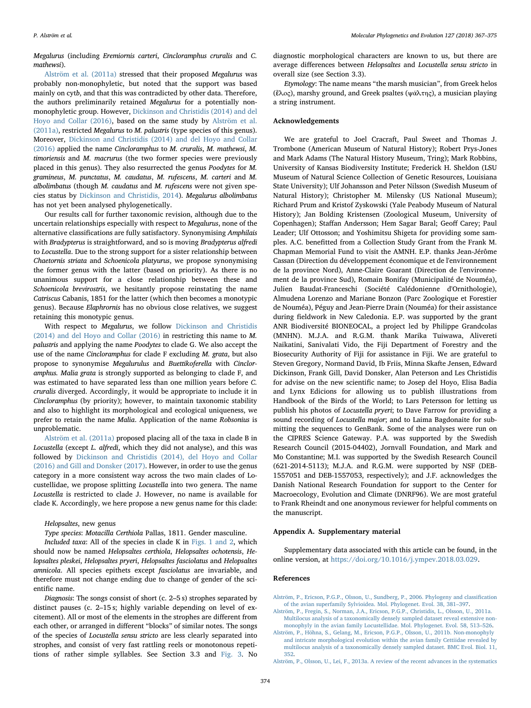Megalurus (including Eremiornis carteri, Cincloramphus cruralis and C. mathewsi).

[Alström et al. \(2011a\)](#page-7-2) stressed that their proposed Megalurus was probably non-monophyletic, but noted that the support was based mainly on cytb, and that this was contradicted by other data. Therefore, the authors preliminarily retained Megalurus for a potentially nonmonophyletic group. However, [Dickinson and Christidis \(2014\) and del](#page-8-3) [Hoyo and Collar \(2016\)](#page-8-3), based on the same study by [Alström et al.](#page-7-2) [\(2011a\),](#page-7-2) restricted Megalurus to M. palustris (type species of this genus). Moreover, [Dickinson and Christidis \(2014\) and del Hoyo and Collar](#page-8-3) [\(2016\)](#page-8-3) applied the name Cincloramphus to M. cruralis, M. mathewsi, M. timoriensis and M. macrurus (the two former species were previously placed in this genus). They also resurrected the genus Poodytes for M. gramineus, M. punctatus, M. caudatus, M. rufescens, M. carteri and M. albolimbatus (though M. caudatus and M. rufescens were not given species status by [Dickinson and Christidis, 2014](#page-8-3)). Megalurus albolimbatus has not yet been analysed phylogenetically.

Our results call for further taxonomic revision, although due to the uncertain relationships especially with respect to Megalurus, none of the alternative classifications are fully satisfactory. Synonymising Amphilais with Bradypterus is straightforward, and so is moving Bradypterus alfredi to Locustella. Due to the strong support for a sister relationship between Chaetornis striata and Schoenicola platyurus, we propose synonymising the former genus with the latter (based on priority). As there is no unanimous support for a close relationship between these and Schoenicola brevirostris, we hesitantly propose reinstating the name Catriscus Cabanis, 1851 for the latter (which then becomes a monotypic genus). Because Elaphrornis has no obvious close relatives, we suggest retaining this monotypic genus.

With respect to Megalurus, we follow [Dickinson and Christidis](#page-8-3) [\(2014\) and del Hoyo and Collar \(2016\)](#page-8-3) in restricting this name to M. palustris and applying the name Poodytes to clade G. We also accept the use of the name Cincloramphus for clade F excluding M. grata, but also propose to synonymise Megalurulus and Buettikoferella with Cincloramphus. Malia grata is strongly supported as belonging to clade F, and was estimated to have separated less than one million years before C. cruralis diverged. Accordingly, it would be appropriate to include it in Cincloramphus (by priority); however, to maintain taxonomic stability and also to highlight its morphological and ecological uniqueness, we prefer to retain the name Malia. Application of the name Robsonius is unproblematic.

[Alström et al. \(2011a\)](#page-7-2) proposed placing all of the taxa in clade B in Locustella (except L. alfredi, which they did not analyse), and this was followed by [Dickinson and Christidis \(2014\), del Hoyo and Collar](#page-8-3) [\(2016\) and Gill and Donsker \(2017\).](#page-8-3) However, in order to use the genus category in a more consistent way across the two main clades of Locustellidae, we propose splitting Locustella into two genera. The name Locustella is restricted to clade J. However, no name is available for clade K. Accordingly, we here propose a new genus name for this clade:

## Helopsaltes, new genus

Type species: Motacilla Certhiola Pallas, 1811. Gender masculine.

Included taxa: All of the species in clade K in [Figs. 1 and 2](#page-2-0), which should now be named Helopsaltes certhiola, Helopsaltes ochotensis, Helopsaltes pleskei, Helopsaltes pryeri, Helopsaltes fasciolatus and Helopsaltes amnicola. All species epithets except fasciolatus are invariable, and therefore must not change ending due to change of gender of the scientific name.

Diagnosis: The songs consist of short (c. 2–5 s) strophes separated by distinct pauses (c. 2–15 s; highly variable depending on level of excitement). All or most of the elements in the strophes are different from each other, or arranged in different "blocks" of similar notes. The songs of the species of Locustella sensu stricto are less clearly separated into strophes, and consist of very fast rattling reels or monotonous repetitions of rather simple syllables. See Section 3.3 and [Fig. 3](#page-5-0). No

diagnostic morphological characters are known to us, but there are average differences between Helopsaltes and Locustella sensu stricto in overall size (see Section 3.3).

Etymology: The name means "the marsh musician", from Greek helos (ἕλος), marshy ground, and Greek psaltes (ψάλτης), a musician playing a string instrument.

# Acknowledgements

We are grateful to Joel Cracraft, Paul Sweet and Thomas J. Trombone (American Museum of Natural History); Robert Prys-Jones and Mark Adams (The Natural History Museum, Tring); Mark Robbins, University of Kansas Biodiversity Institute; Frederick H. Sheldon (LSU Museum of Natural Science Collection of Genetic Resources, Louisiana State University); Ulf Johansson and Peter Nilsson (Swedish Museum of Natural History); Christopher M. Milensky (US National Museum); Richard Prum and Kristof Zyskowski (Yale Peabody Museum of Natural History); Jan Bolding Kristensen (Zoological Museum, University of Copenhagen); Staffan Andersson; Hem Sagar Baral; Geoff Carey; Paul Leader; Ulf Ottosson; and Yoshimitsu Shigeta for providing some samples. A.C. benefitted from a Collection Study Grant from the Frank M. Chapman Memorial Fund to visit the AMNH. E.P. thanks Jean-Jérôme Cassan (Direction du développement économique et de l'environnement de la province Nord), Anne-Claire Goarant (Direction de l'environnement de la province Sud), Romain Bonifay (Municipalité de Nouméa), Julien Baudat-Franceschi (Société Calédonienne d'Ornithologie), Almudena Lorenzo and Mariane Bonzon (Parc Zoologique et Forestier de Nouméa), Péguy and Jean-Pierre Drain (Nouméa) for their assistance during fieldwork in New Caledonia. E.P. was supported by the grant ANR Biodiversité BIONEOCAL, a project led by Philippe Grandcolas (MNHN). M.J.A. and R.G.M. thank Marika Tuiwawa, Alivereti Naikatini, Sanivalati Vido, the Fiji Department of Forestry and the Biosecurity Authority of Fiji for assistance in Fiji. We are grateful to Steven Gregory, Normand David, Ib Friis, Minna Skafte Jensen, Edward Dickinson, Frank Gill, David Donsker, Alan Peterson and Les Christidis for advise on the new scientific name; to Josep del Hoyo, Elisa Badia and Lynx Edicions for allowing us to publish illustrations from Handbook of the Birds of the World; to Lars Petersson for letting us publish his photos of Locustella pryeri; to Dave Farrow for providing a sound recording of Locustella major; and to Laima Bagdonaite for submitting the sequences to GenBank. Some of the analyses were run on the CIPRES Science Gateway. P.A. was supported by the Swedish Research Council (2015-04402), Jornvall Foundation, and Mark and Mo Constantine; M.I. was supported by the Swedish Research Council (621-2014-5113); M.J.A. and R.G.M. were supported by NSF (DEB-1557051 and DEB-1557053, respectively); and J.F. acknowledges the Danish National Research Foundation for support to the Center for Macroecology, Evolution and Climate (DNRF96). We are most grateful to Frank Rheindt and one anonymous reviewer for helpful comments on the manuscript.

# Appendix A. Supplementary material

Supplementary data associated with this article can be found, in the online version, at <https://doi.org/10.1016/j.ympev.2018.03.029>.

#### References

- <span id="page-7-1"></span>[Alström, P., Ericson, P.G.P., Olsson, U., Sundberg, P., 2006. Phylogeny and classi](http://refhub.elsevier.com/S1055-7903(17)30719-4/h0005)fication [of the avian superfamily Sylvioidea. Mol. Phylogenet. Evol. 38, 381](http://refhub.elsevier.com/S1055-7903(17)30719-4/h0005)–397.
- <span id="page-7-2"></span>[Alström, P., Fregin, S., Norman, J.A., Ericson, P.G.P., Christidis, L., Olsson, U., 2011a.](http://refhub.elsevier.com/S1055-7903(17)30719-4/h0010) [Multilocus analysis of a taxonomically densely sampled dataset reveal extensive non](http://refhub.elsevier.com/S1055-7903(17)30719-4/h0010)[monophyly in the avian family Locustellidae. Mol. Phylogenet. Evol. 58, 513](http://refhub.elsevier.com/S1055-7903(17)30719-4/h0010)–526.
- <span id="page-7-3"></span>[Alström, P., Höhna, S., Gelang, M., Ericson, P.G.P., Olsson, U., 2011b. Non-monophyly](http://refhub.elsevier.com/S1055-7903(17)30719-4/h0015) [and intricate morphological evolution within the avian family Cettiidae revealed by](http://refhub.elsevier.com/S1055-7903(17)30719-4/h0015) [multilocus analysis of a taxonomically densely sampled dataset. BMC Evol. Biol. 11,](http://refhub.elsevier.com/S1055-7903(17)30719-4/h0015) [352](http://refhub.elsevier.com/S1055-7903(17)30719-4/h0015).
- <span id="page-7-0"></span>[Alström, P., Olsson, U., Lei, F., 2013a. A review of the recent advances in the systematics](http://refhub.elsevier.com/S1055-7903(17)30719-4/h0020)